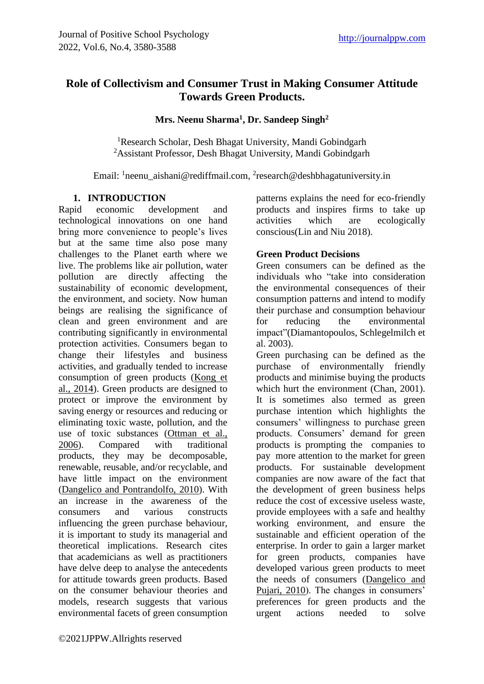# **Role of Collectivism and Consumer Trust in Making Consumer Attitude Towards Green Products.**

**Mrs. Neenu Sharma<sup>1</sup> , Dr. Sandeep Singh<sup>2</sup>**

<sup>1</sup>Research Scholar, Desh Bhagat University, Mandi Gobindgarh <sup>2</sup>Assistant Professor, Desh Bhagat University, Mandi Gobindgarh

Email: <sup>1</sup>[neenu\\_aishani@rediffmail.com,](mailto:neenu_aishani@rediffmail.com) <sup>2</sup>[research@deshbhagatuniversity.in](mailto:research@deshbhagatuniversity.in)

#### **1. INTRODUCTION**

Rapid economic development and technological innovations on one hand bring more convenience to people's lives but at the same time also pose many challenges to the Planet earth where we live. The problems like air pollution, water pollution are directly affecting the sustainability of economic development, the environment, and society. Now human beings are realising the significance of clean and green environment and are contributing significantly in environmental protection activities. Consumers began to change their lifestyles and business activities, and gradually tended to increase consumption of green products [\(Kong et](https://www.ncbi.nlm.nih.gov/pmc/articles/PMC8062720/#B56)  [al., 2014\)](https://www.ncbi.nlm.nih.gov/pmc/articles/PMC8062720/#B56). Green products are designed to protect or improve the environment by saving energy or resources and reducing or eliminating toxic waste, pollution, and the use of toxic substances [\(Ottman et al.,](https://www.ncbi.nlm.nih.gov/pmc/articles/PMC8062720/#B73) 2006). Compared with traditional  $2006$ . Compared with products, they may be decomposable, renewable, reusable, and/or recyclable, and have little impact on the environment [\(Dangelico and Pontrandolfo, 2010\)](https://www.ncbi.nlm.nih.gov/pmc/articles/PMC8062720/#B28). With an increase in the awareness of the consumers and various constructs influencing the green purchase behaviour, it is important to study its managerial and theoretical implications. Research cites that academicians as well as practitioners have delve deep to analyse the antecedents for attitude towards green products. Based on the consumer behaviour theories and models, research suggests that various environmental facets of green consumption

patterns explains the need for eco-friendly products and inspires firms to take up activities which are ecologically conscious(Lin and Niu 2018).

#### **Green Product Decisions**

Green consumers can be defined as the individuals who "take into consideration the environmental consequences of their consumption patterns and intend to modify their purchase and consumption behaviour for reducing the environmental impact"(Diamantopoulos, Schlegelmilch et al. 2003).

Green purchasing can be defined as the purchase of environmentally friendly products and minimise buying the products which hurt the environment (Chan, 2001). It is sometimes also termed as green purchase intention which highlights the consumers' willingness to purchase green products. Consumers' demand for green products is prompting the companies to pay more attention to the market for green products. For sustainable development companies are now aware of the fact that the development of green business helps reduce the cost of excessive useless waste, provide employees with a safe and healthy working environment, and ensure the sustainable and efficient operation of the enterprise. In order to gain a larger market for green products, companies have developed various green products to meet the needs of consumers [\(Dangelico and](https://www.ncbi.nlm.nih.gov/pmc/articles/PMC8062720/#B29)  [Pujari, 2010\)](https://www.ncbi.nlm.nih.gov/pmc/articles/PMC8062720/#B29). The changes in consumers' preferences for green products and the urgent actions needed to solve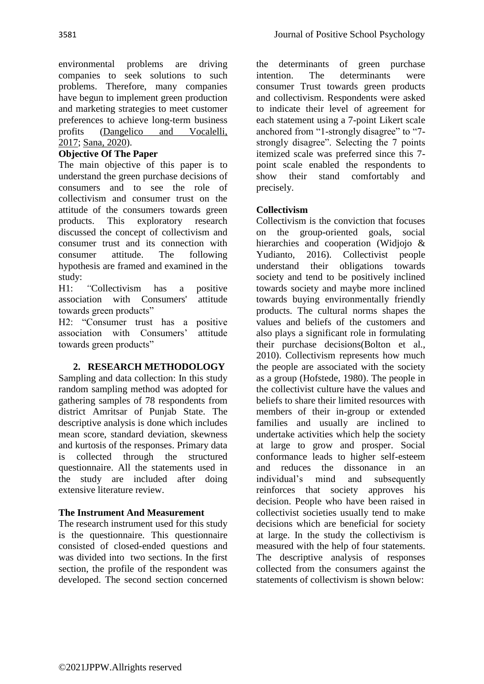environmental problems are driving companies to seek solutions to such problems. Therefore, many companies have begun to implement green production and marketing strategies to meet customer preferences to achieve long-term business profits [\(Dangelico and Vocalelli,](https://www.ncbi.nlm.nih.gov/pmc/articles/PMC8062720/#B30)  [2017;](https://www.ncbi.nlm.nih.gov/pmc/articles/PMC8062720/#B30) [Sana, 2020\)](https://www.ncbi.nlm.nih.gov/pmc/articles/PMC8062720/#B82).

## **Objective Of The Paper**

The main objective of this paper is to understand the green purchase decisions of consumers and to see the role of collectivism and consumer trust on the attitude of the consumers towards green products. This exploratory research discussed the concept of collectivism and consumer trust and its connection with consumer attitude. The following hypothesis are framed and examined in the study:

H1: *"*Collectivism has a positive association with Consumers' attitude towards green products"

H2: "Consumer trust has a positive association with Consumers' attitude towards green products"

### **2. RESEARCH METHODOLOGY**

Sampling and data collection: In this study random sampling method was adopted for gathering samples of 78 respondents from district Amritsar of Punjab State. The descriptive analysis is done which includes mean score, standard deviation, skewness and kurtosis of the responses. Primary data is collected through the structured questionnaire. All the statements used in the study are included after doing extensive literature review.

### **The Instrument And Measurement**

The research instrument used for this study is the questionnaire. This questionnaire consisted of closed-ended questions and was divided into two sections. In the first section, the profile of the respondent was developed. The second section concerned the determinants of green purchase intention. The determinants were consumer Trust towards green products and collectivism. Respondents were asked to indicate their level of agreement for each statement using a 7-point Likert scale anchored from "1-strongly disagree" to "7strongly disagree". Selecting the 7 points itemized scale was preferred since this 7 point scale enabled the respondents to show their stand comfortably and precisely.

### **Collectivism**

Collectivism is the conviction that focuses on the group-oriented goals, social hierarchies and cooperation (Widjojo & Yudianto, 2016). Collectivist people understand their obligations towards society and tend to be positively inclined towards society and maybe more inclined towards buying environmentally friendly products. The cultural norms shapes the values and beliefs of the customers and also plays a significant role in formulating their purchase decisions(Bolton et al., 2010). Collectivism represents how much the people are associated with the society as a group (Hofstede, 1980). The people in the collectivist culture have the values and beliefs to share their limited resources with members of their in-group or extended families and usually are inclined to undertake activities which help the society at large to grow and prosper. Social conformance leads to higher self-esteem and reduces the dissonance in an individual's mind and subsequently reinforces that society approves his decision. People who have been raised in collectivist societies usually tend to make decisions which are beneficial for society at large. In the study the collectivism is measured with the help of four statements. The descriptive analysis of responses collected from the consumers against the statements of collectivism is shown below: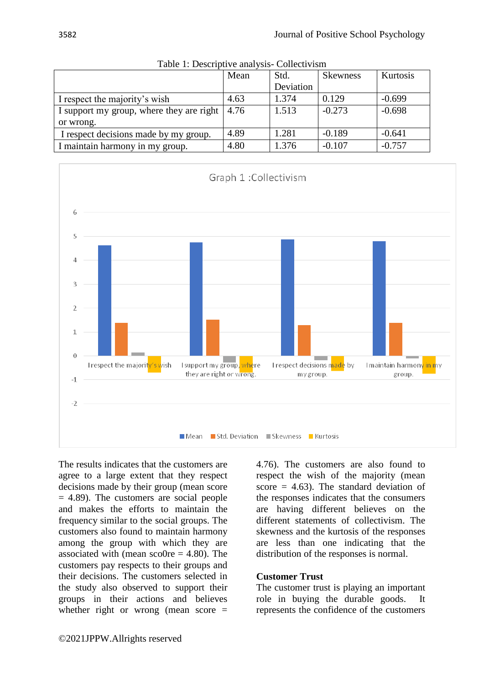| raole 1. Descriptive and your concent is the |      |           |                 |          |  |  |
|----------------------------------------------|------|-----------|-----------------|----------|--|--|
|                                              | Mean | Std.      | <b>Skewness</b> | Kurtosis |  |  |
|                                              |      | Deviation |                 |          |  |  |
| I respect the majority's wish                | 4.63 | 1.374     | 0.129           | $-0.699$ |  |  |
| I support my group, where they are right     | 4.76 | 1.513     | $-0.273$        | $-0.698$ |  |  |
| or wrong.                                    |      |           |                 |          |  |  |
| I respect decisions made by my group.        | 4.89 | 1.281     | $-0.189$        | $-0.641$ |  |  |
| I maintain harmony in my group.              | 4.80 | 1.376     | $-0.107$        | $-0.757$ |  |  |
|                                              |      |           |                 |          |  |  |

Table 1: Descriptive analysis- Collectivism



The results indicates that the customers are agree to a large extent that they respect decisions made by their group (mean score  $= 4.89$ ). The customers are social people and makes the efforts to maintain the frequency similar to the social groups. The customers also found to maintain harmony among the group with which they are associated with (mean sco0re  $=$  4.80). The customers pay respects to their groups and their decisions. The customers selected in the study also observed to support their groups in their actions and believes whether right or wrong (mean score =

4.76). The customers are also found to respect the wish of the majority (mean score  $= 4.63$ ). The standard deviation of the responses indicates that the consumers are having different believes on the different statements of collectivism. The skewness and the kurtosis of the responses are less than one indicating that the distribution of the responses is normal.

#### **Customer Trust**

The customer trust is playing an important role in buying the durable goods. It represents the confidence of the customers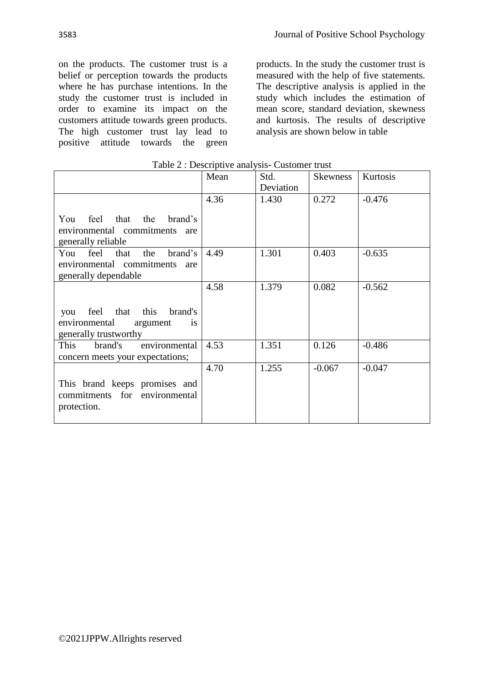on the products. The customer trust is a belief or perception towards the products where he has purchase intentions. In the study the customer trust is included in order to examine its impact on the customers attitude towards green products. The high customer trust lay lead to positive attitude towards the green products. In the study the customer trust is measured with the help of five statements. The descriptive analysis is applied in the study which includes the estimation of mean score, standard deviation, skewness and kurtosis. The results of descriptive analysis are shown below in table

|                                        | rable $\angle$ : Descriptive analysis- Customer trust |           |                 |          |  |  |  |
|----------------------------------------|-------------------------------------------------------|-----------|-----------------|----------|--|--|--|
|                                        | Mean                                                  | Std.      | <b>Skewness</b> | Kurtosis |  |  |  |
|                                        |                                                       | Deviation |                 |          |  |  |  |
|                                        | 4.36                                                  | 1.430     | 0.272           | $-0.476$ |  |  |  |
|                                        |                                                       |           |                 |          |  |  |  |
| feel that the<br>brand's<br>You        |                                                       |           |                 |          |  |  |  |
| environmental commitments<br>are       |                                                       |           |                 |          |  |  |  |
| generally reliable                     |                                                       |           |                 |          |  |  |  |
| feel<br>brand's<br>that<br>the<br>You  | 4.49                                                  | 1.301     | 0.403           | $-0.635$ |  |  |  |
| environmental commitments<br>are       |                                                       |           |                 |          |  |  |  |
| generally dependable                   |                                                       |           |                 |          |  |  |  |
|                                        | 4.58                                                  | 1.379     | 0.082           | $-0.562$ |  |  |  |
|                                        |                                                       |           |                 |          |  |  |  |
| this<br>feel that<br>brand's<br>you    |                                                       |           |                 |          |  |  |  |
| environmental<br>argument<br><i>is</i> |                                                       |           |                 |          |  |  |  |
| generally trustworthy                  |                                                       |           |                 |          |  |  |  |
| brand's<br>This<br>environmental       | 4.53                                                  | 1.351     | 0.126           | $-0.486$ |  |  |  |
| concern meets your expectations;       |                                                       |           |                 |          |  |  |  |
|                                        | 4.70                                                  | 1.255     | $-0.067$        | $-0.047$ |  |  |  |
|                                        |                                                       |           |                 |          |  |  |  |
| This brand keeps promises and          |                                                       |           |                 |          |  |  |  |
| commitments for environmental          |                                                       |           |                 |          |  |  |  |
| protection.                            |                                                       |           |                 |          |  |  |  |
|                                        |                                                       |           |                 |          |  |  |  |

Table 2 : Descriptive analysis- Customer trust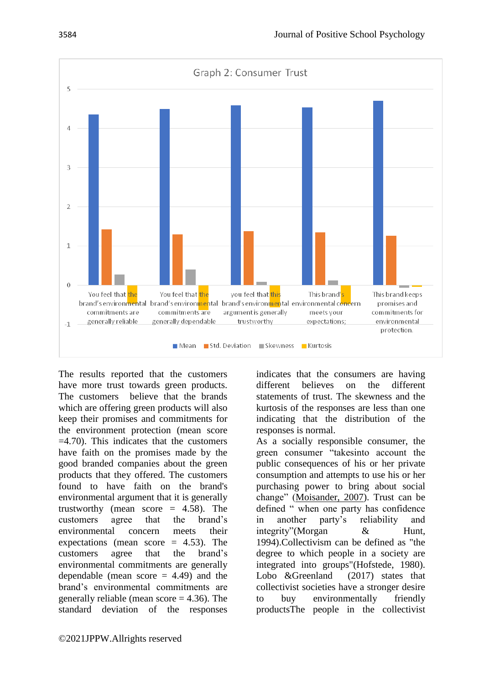

The results reported that the customers have more trust towards green products. The customers believe that the brands which are offering green products will also keep their promises and commitments for the environment protection (mean score  $=4.70$ ). This indicates that the customers have faith on the promises made by the good branded companies about the green products that they offered. The customers found to have faith on the brand's environmental argument that it is generally trustworthy (mean score  $= 4.58$ ). The customers agree that the brand's environmental concern meets their expectations (mean score  $= 4.53$ ). The customers agree that the brand's environmental commitments are generally dependable (mean score  $= 4.49$ ) and the brand's environmental commitments are generally reliable (mean score  $=$  4.36). The standard deviation of the responses indicates that the consumers are having different believes on the different statements of trust. The skewness and the kurtosis of the responses are less than one indicating that the distribution of the responses is normal.

As a socially responsible consumer, the green consumer "takesinto account the public consequences of his or her private consumption and attempts to use his or her purchasing power to bring about social change" [\(Moisander, 2007\)](https://www.sciencedirect.com/science/article/pii/S2306774815000034#bib0305). Trust can be defined " when one party has confidence in another party's reliability and integrity"(Morgan & Hunt, 1994).Collectivism can be defined as "the degree to which people in a society are integrated into groups"(Hofstede, 1980). Lobo &Greenland (2017) states that collectivist societies have a stronger desire to buy environmentally friendly productsThe people in the collectivist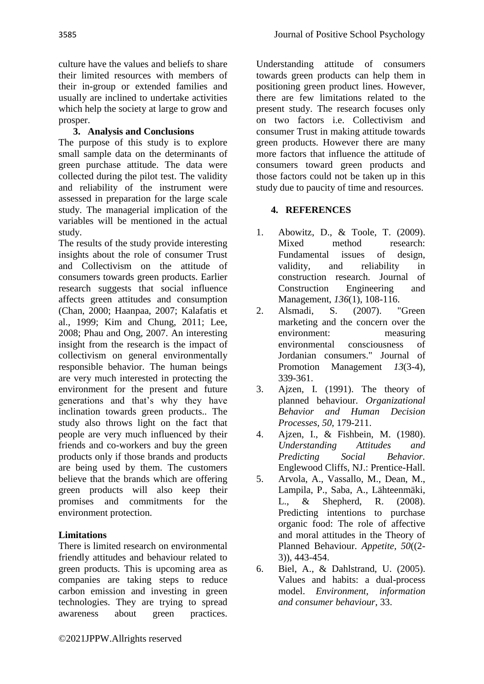culture have the values and beliefs to share their limited resources with members of their in-group or extended families and usually are inclined to undertake activities which help the society at large to grow and prosper.

## **3. Analysis and Conclusions**

The purpose of this study is to explore small sample data on the determinants of green purchase attitude. The data were collected during the pilot test. The validity and reliability of the instrument were assessed in preparation for the large scale study. The managerial implication of the variables will be mentioned in the actual study.

The results of the study provide interesting insights about the role of consumer Trust and Collectivism on the attitude of consumers towards green products. Earlier research suggests that social influence affects green attitudes and consumption (Chan, 2000; Haanpaa, 2007; Kalafatis et al., 1999; Kim and Chung, 2011; Lee, 2008; Phau and Ong, 2007. An interesting insight from the research is the impact of collectivism on general environmentally responsible behavior. The human beings are very much interested in protecting the environment for the present and future generations and that's why they have inclination towards green products.. The study also throws light on the fact that people are very much influenced by their friends and co-workers and buy the green products only if those brands and products are being used by them. The customers believe that the brands which are offering green products will also keep their promises and commitments for the environment protection.

## **Limitations**

There is limited research on environmental friendly attitudes and behaviour related to green products. This is upcoming area as companies are taking steps to reduce carbon emission and investing in green technologies. They are trying to spread awareness about green practices.

Understanding attitude of consumers towards green products can help them in positioning green product lines. However, there are few limitations related to the present study. The research focuses only on two factors i.e. Collectivism and consumer Trust in making attitude towards green products. However there are many more factors that influence the attitude of consumers toward green products and those factors could not be taken up in this study due to paucity of time and resources.

### **4. REFERENCES**

- 1. Abowitz, D., & Toole, T. (2009). Mixed method research: Fundamental issues of design, validity, and reliability in construction research. Journal of Construction Engineering and Management, *136*(1), 108-116.
- 2. Alsmadi, S. (2007). "Green marketing and the concern over the environment: measuring environmental consciousness of Jordanian consumers." Journal of Promotion Management *13*(3-4), 339-361.
- 3. Ajzen, I. (1991). The theory of planned behaviour. *Organizational Behavior and Human Decision Processes, 50*, 179-211.
- 4. Ajzen, I., & Fishbein, M. (1980). *Understanding Attitudes and Predicting Social Behavior.* Englewood Cliffs, NJ.: Prentice-Hall.
- 5. Arvola, A., Vassallo, M., Dean, M., Lampila, P., Saba, A., Lähteenmäki, L., & Shepherd, R. (2008). Predicting intentions to purchase organic food: The role of affective and moral attitudes in the Theory of Planned Behaviour. *Appetite, 50*((2- 3)), 443-454.
- 6. Biel, A., & Dahlstrand, U. (2005). Values and habits: a dual-process model. *Environment, information and consumer behaviour*, 33.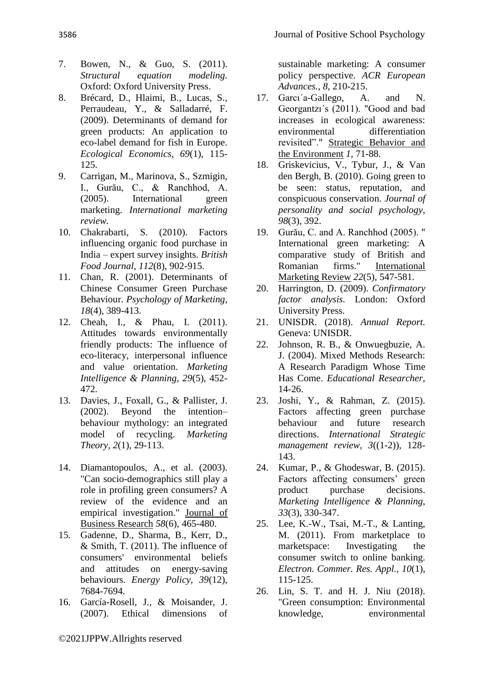- 7. Bowen, N., & Guo, S. (2011). *Structural equation modeling.* Oxford: Oxford University Press.
- 8. Brécard, D., Hlaimi, B., Lucas, S., Perraudeau, Y., & Salladarré, F. (2009). Determinants of demand for green products: An application to eco-label demand for fish in Europe. *Ecological Economics, 69*(1), 115- 125.
- 9. Carrigan, M., Marinova, S., Szmigin, I., Gurău, C., & Ranchhod, A. (2005). International green marketing. *International marketing review.*
- 10. Chakrabarti, S. (2010). Factors influencing organic food purchase in India – expert survey insights. *British Food Journal, 112*(8), 902-915.
- 11. Chan, R. (2001). Determinants of Chinese Consumer Green Purchase Behaviour. *Psychology of Marketing, 18*(4), 389-413.
- 12. Cheah, I., & Phau, I. (2011). Attitudes towards environmentally friendly products: The influence of eco-literacy, interpersonal influence and value orientation. *Marketing Intelligence & Planning, 29*(5), 452- 472.
- 13. Davies, J., Foxall, G., & Pallister, J. (2002). Beyond the intention– behaviour mythology: an integrated model of recycling. *Marketing Theory, 2*(1), 29-113.
- 14. Diamantopoulos, A., et al. (2003). "Can socio-demographics still play a role in profiling green consumers? A review of the evidence and an empirical investigation." Journal of Business Research *58*(6), 465-480.
- 15. Gadenne, D., Sharma, B., Kerr, D., & Smith, T. (2011). The influence of consumers' environmental beliefs and attitudes on energy-saving behaviours. *Energy Policy, 39*(12), 7684-7694.
- 16. García-Rosell, J., & Moisander, J. (2007). Ethical dimensions of

sustainable marketing: A consumer policy perspective. *ACR European Advances., 8*, 210-215.

- 17. Garcı´a-Gallego, A. and N. Georgantzı´s (2011). "Good and bad increases in ecological awareness: environmental differentiation revisited"." Strategic Behavior and the Environment *1*, 71-88.
- 18. Griskevicius, V., Tybur, J., & Van den Bergh, B. (2010). Going green to be seen: status, reputation, and conspicuous conservation. *Journal of personality and social psychology, 98*(3), 392.
- 19. Gurău, C. and A. Ranchhod (2005). " International green marketing: A comparative study of British and Romanian firms." International Marketing Review *22*(5), 547-581.
- 20. Harrington, D. (2009). *Confirmatory factor analysis.* London: Oxford University Press.
- 21. UNISDR. (2018). *Annual Report.* Geneva: UNISDR.
- 22. Johnson, R. B., & Onwuegbuzie, A. J. (2004). Mixed Methods Research: A Research Paradigm Whose Time Has Come. *Educational Researcher*, 14-26.
- 23. Joshi, Y., & Rahman, Z. (2015). Factors affecting green purchase behaviour and future research directions. *International Strategic management review, 3*((1-2)), 128- 143.
- 24. Kumar, P., & Ghodeswar, B. (2015). Factors affecting consumers' green product purchase decisions. *Marketing Intelligence & Planning, 33*(3), 330-347.
- 25. Lee, K.-W., Tsai, M.-T., & Lanting, M. (2011). From marketplace to marketspace: Investigating the consumer switch to online banking. *Electron. Commer. Res. Appl., 10*(1), 115-125.
- 26. Lin, S. T. and H. J. Niu (2018). "Green consumption: Environmental knowledge, environmental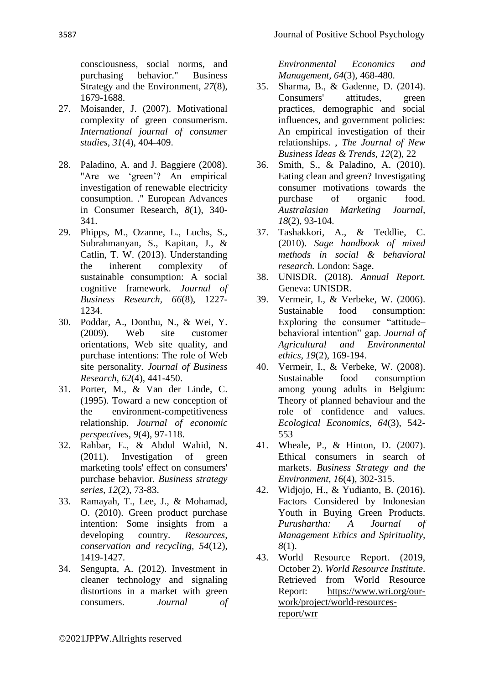consciousness, social norms, and purchasing behavior." Business Strategy and the Environment, *27*(8), 1679-1688.

- 27. Moisander, J. (2007). Motivational complexity of green consumerism. *International journal of consumer studies, 31*(4), 404-409.
- 28. Paladino, A. and J. Baggiere (2008). "Are we 'green'? An empirical investigation of renewable electricity consumption. ." European Advances in Consumer Research, *8*(1), 340- 341.
- 29. Phipps, M., Ozanne, L., Luchs, S., Subrahmanyan, S., Kapitan, J., & Catlin, T. W. (2013). Understanding the inherent complexity of sustainable consumption: A social cognitive framework. *Journal of Business Research, 66*(8), 1227- 1234.
- 30. Poddar, A., Donthu, N., & Wei, Y. (2009). Web site customer orientations, Web site quality, and purchase intentions: The role of Web site personality. *Journal of Business Research, 62*(4), 441-450.
- 31. Porter, M., & Van der Linde, C. (1995). Toward a new conception of the environment-competitiveness relationship. *Journal of economic perspectives, 9*(4), 97-118.
- 32. Rahbar, E., & Abdul Wahid, N. (2011). Investigation of green marketing tools' effect on consumers' purchase behavior. *Business strategy series, 12*(2), 73-83.
- 33. Ramayah, T., Lee, J., & Mohamad, O. (2010). Green product purchase intention: Some insights from a developing country. *Resources, conservation and recycling, 54*(12), 1419-1427.
- 34. Sengupta, A. (2012). Investment in cleaner technology and signaling distortions in a market with green consumers. *Journal of*

*Environmental Economics and Management, 64*(3), 468-480.

- 35. Sharma, B., & Gadenne, D. (2014). Consumers' attitudes, green practices, demographic and social influences, and government policies: An empirical investigation of their relationships. , *The Journal of New Business Ideas & Trends, 12*(2), 22
- 36. Smith, S., & Paladino, A. (2010). Eating clean and green? Investigating consumer motivations towards the purchase of organic food. *Australasian Marketing Journal, 18*(2), 93-104.
- 37. Tashakkori, A., & Teddlie, C. (2010). *Sage handbook of mixed methods in social & behavioral research.* London: Sage.
- 38. UNISDR. (2018). *Annual Report.* Geneva: UNISDR.
- 39. Vermeir, I., & Verbeke, W. (2006). Sustainable food consumption: Exploring the consumer "attitude– behavioral intention" gap. *Journal of Agricultural and Environmental ethics, 19*(2), 169-194.
- 40. Vermeir, I., & Verbeke, W. (2008). Sustainable food consumption among young adults in Belgium: Theory of planned behaviour and the role of confidence and values. *Ecological Economics, 64*(3), 542- 553
- 41. Wheale, P., & Hinton, D. (2007). Ethical consumers in search of markets. *Business Strategy and the Environment, 16*(4), 302-315.
- 42. Widjojo, H., & Yudianto, B. (2016). Factors Considered by Indonesian Youth in Buying Green Products. *Purushartha: A Journal of Management Ethics and Spirituality, 8*(1).
- 43. World Resource Report. (2019, October 2). *World Resource Institute*. Retrieved from World Resource Report: [https://www.wri.org/our](https://www.wri.org/our-work/project/world-resources-report/wrr)[work/project/world-resources](https://www.wri.org/our-work/project/world-resources-report/wrr)[report/wrr](https://www.wri.org/our-work/project/world-resources-report/wrr)